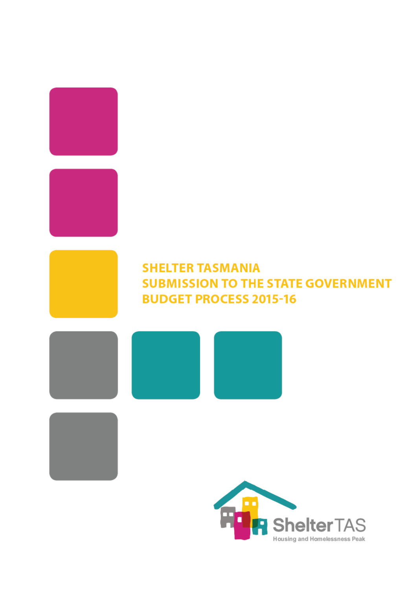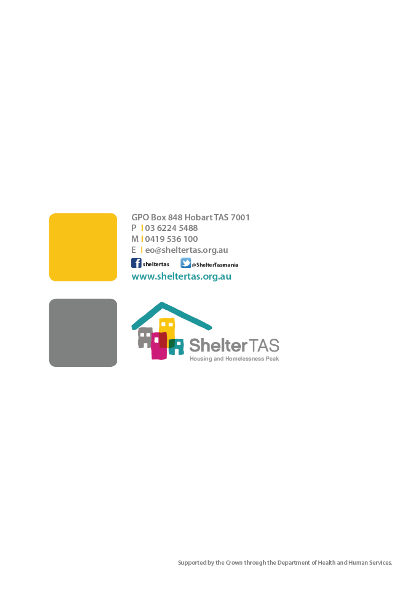

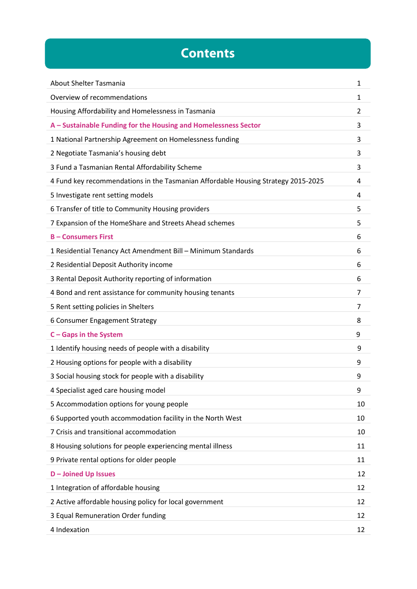# **Contents**

| About Shelter Tasmania                                                            | 1  |
|-----------------------------------------------------------------------------------|----|
| Overview of recommendations                                                       | 1  |
| Housing Affordability and Homelessness in Tasmania                                | 2  |
| A - Sustainable Funding for the Housing and Homelessness Sector                   | 3  |
| 1 National Partnership Agreement on Homelessness funding                          | 3  |
| 2 Negotiate Tasmania's housing debt                                               | 3  |
| 3 Fund a Tasmanian Rental Affordability Scheme                                    | 3  |
| 4 Fund key recommendations in the Tasmanian Affordable Housing Strategy 2015-2025 | 4  |
| 5 Investigate rent setting models                                                 | 4  |
| 6 Transfer of title to Community Housing providers                                | 5  |
| 7 Expansion of the HomeShare and Streets Ahead schemes                            | 5  |
| <b>B-Consumers First</b>                                                          | 6  |
| 1 Residential Tenancy Act Amendment Bill - Minimum Standards                      | 6  |
| 2 Residential Deposit Authority income                                            | 6  |
| 3 Rental Deposit Authority reporting of information                               | 6  |
| 4 Bond and rent assistance for community housing tenants                          | 7  |
| 5 Rent setting policies in Shelters                                               | 7  |
| 6 Consumer Engagement Strategy                                                    | 8  |
| C - Gaps in the System                                                            | 9  |
| 1 Identify housing needs of people with a disability                              | 9  |
| 2 Housing options for people with a disability                                    | 9  |
| 3 Social housing stock for people with a disability                               | 9  |
| 4 Specialist aged care housing model                                              | 9  |
| 5 Accommodation options for young people                                          | 10 |
| 6 Supported youth accommodation facility in the North West                        | 10 |
| 7 Crisis and transitional accommodation                                           | 10 |
| 8 Housing solutions for people experiencing mental illness                        | 11 |
| 9 Private rental options for older people                                         | 11 |
| <b>D-Joined Up Issues</b>                                                         | 12 |
| 1 Integration of affordable housing                                               | 12 |
| 2 Active affordable housing policy for local government                           | 12 |
| 3 Equal Remuneration Order funding                                                | 12 |
| 4 Indexation                                                                      | 12 |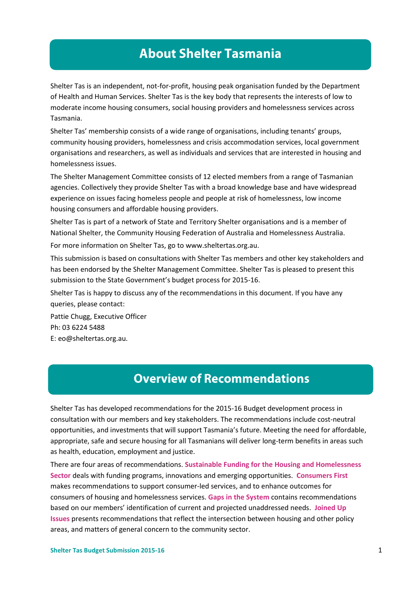# **About Shelter Tasmania**

Shelter Tas is an independent, not-for-profit, housing peak organisation funded by the Department of Health and Human Services. Shelter Tas is the key body that represents the interests of low to moderate income housing consumers, social housing providers and homelessness services across Tasmania.

Shelter Tas' membership consists of a wide range of organisations, including tenants' groups, community housing providers, homelessness and crisis accommodation services, local government organisations and researchers, as well as individuals and services that are interested in housing and homelessness issues.

The Shelter Management Committee consists of 12 elected members from a range of Tasmanian agencies. Collectively they provide Shelter Tas with a broad knowledge base and have widespread experience on issues facing homeless people and people at risk of homelessness, low income housing consumers and affordable housing providers.

Shelter Tas is part of a network of State and Territory Shelter organisations and is a member of National Shelter, the Community Housing Federation of Australia and Homelessness Australia.

For more information on Shelter Tas, go to [www.sheltertas.org.au.](http://www.sheltertas.org.au/)

This submission is based on consultations with Shelter Tas members and other key stakeholders and has been endorsed by the Shelter Management Committee. Shelter Tas is pleased to present this submission to the State Government's budget process for 2015-16.

Shelter Tas is happy to discuss any of the recommendations in this document. If you have any queries, please contact:

Pattie Chugg, Executive Officer Ph: 03 6224 5488 E: eo@sheltertas.org.au.

### **Overview of Recommendations**

Shelter Tas has developed recommendations for the 2015-16 Budget development process in consultation with our members and key stakeholders. The recommendations include cost-neutral opportunities, and investments that will support Tasmania's future. Meeting the need for affordable, appropriate, safe and secure housing for all Tasmanians will deliver long-term benefits in areas such as health, education, employment and justice.

There are four areas of recommendations. **Sustainable Funding for the Housing and Homelessness Sector** deals with funding programs, innovations and emerging opportunities. **Consumers First** makes recommendations to support consumer-led services, and to enhance outcomes for consumers of housing and homelessness services. **Gaps in the System** contains recommendations based on our members' identification of current and projected unaddressed needs. **Joined Up Issues** presents recommendations that reflect the intersection between housing and other policy areas, and matters of general concern to the community sector.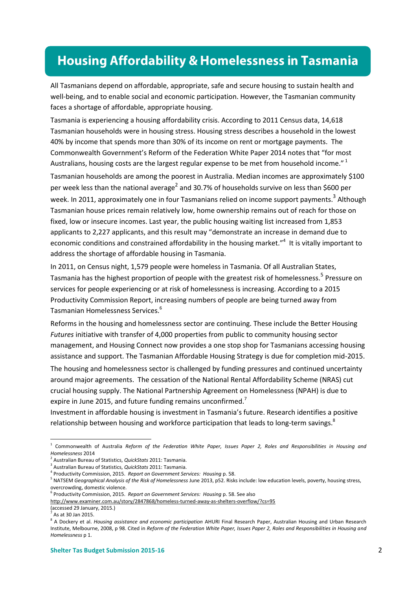# **Housing Affordability & Homelessness in Tasmania**

All Tasmanians depend on affordable, appropriate, safe and secure housing to sustain health and well-being, and to enable social and economic participation. However, the Tasmanian community faces a shortage of affordable, appropriate housing.

Tasmania is experiencing a housing affordability crisis. According to 2011 Census data, 14,618 Tasmanian households were in housing stress. Housing stress describes a household in the lowest 40% by income that spends more than 30% of its income on rent or mortgage payments. The Commonwealth Government's Reform of the Federation White Paper 2014 notes that "for most Australians, housing costs are the largest regular expense to be met from household income."<sup>1</sup>

Tasmanian households are among the poorest in Australia. Median incomes are approximately \$100 per week less than the national average<sup>2</sup> and 30.7% of households survive on less than \$600 per week. In 2011, approximately one in four Tasmanians relied on income support payments.<sup>3</sup> Although Tasmanian house prices remain relatively low, home ownership remains out of reach for those on fixed, low or insecure incomes. Last year, the public housing waiting list increased from 1,853 applicants to 2,227 applicants, and this result may "demonstrate an increase in demand due to economic conditions and constrained affordability in the housing market."<sup>4</sup> It is vitally important to address the shortage of affordable housing in Tasmania.

In 2011, on Census night, 1,579 people were homeless in Tasmania. Of all Australian States, Tasmania has the highest proportion of people with the greatest risk of homelessness.<sup>5</sup> Pressure on services for people experiencing or at risk of homelessness is increasing. According to a 2015 Productivity Commission Report, increasing numbers of people are being turned away from Tasmanian Homelessness Services.<sup>6</sup>

Reforms in the housing and homelessness sector are continuing. These include the Better Housing *Futures* initiative with transfer of 4,000 properties from public to community housing sector management, and Housing Connect now provides a one stop shop for Tasmanians accessing housing assistance and support. The Tasmanian Affordable Housing Strategy is due for completion mid-2015. The housing and homelessness sector is challenged by funding pressures and continued uncertainty around major agreements. The cessation of the National Rental Affordability Scheme (NRAS) cut crucial housing supply. The National Partnership Agreement on Homelessness (NPAH) is due to expire in June 2015, and future funding remains unconfirmed.<sup>7</sup>

Investment in affordable housing is investment in Tasmania's future. Research identifies a positive relationship between housing and workforce participation that leads to long-term savings.<sup>8</sup>

<http://www.examiner.com.au/story/2847868/homeless-turned-away-as-shelters-overflow/?cs=95>

<sup>1</sup> Commonwealth of Australia *Reform of the Federation White Paper, Issues Paper 2, Roles and Responsibilities in Housing and Homelessness* 2014

<sup>2</sup> Australian Bureau of Statistics, *QuickStats* 2011: Tasmania.

<sup>3</sup> Australian Bureau of Statistics, *QuickStats* 2011: Tasmania.

<sup>4</sup> Productivity Commission, 2015. *Report on Government Services: Housing* p. 58.

<sup>5</sup> NATSEM *Geographical Analysis of the Risk of Homelessness* June 2013, p52. Risks include: low education levels, poverty, housing stress, overcrowding, domestic violence.

<sup>6</sup> Productivity Commission, 2015. *Report on Government Services: Housing* p. 58. See also

<sup>(</sup>accessed 29 January, 2015.)

<sup>7</sup> As at 30 Jan 2015.

<sup>8</sup> A Dockery et al. *Housing assistance and economic participation* AHURI Final Research Paper, Australian Housing and Urban Research Institute, Melbourne, 2008, p 98. Cited in *Reform of the Federation White Paper, Issues Paper 2, Roles and Responsibilities in Housing and Homelessness* p 1.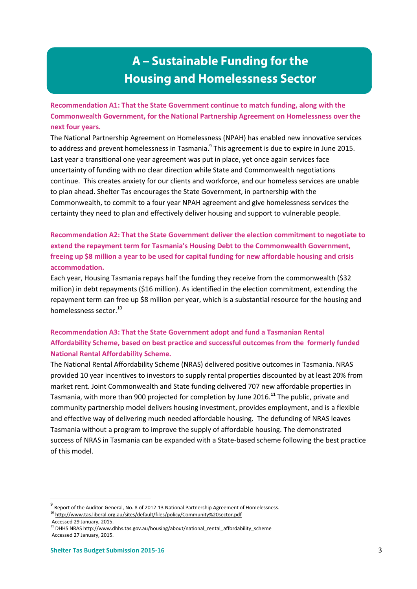# A - Sustainable Funding for the **Housing and Homelessness Sector**

**Recommendation A1: That the State Government continue to match funding, along with the Commonwealth Government, for the National Partnership Agreement on Homelessness over the next four years.**

The National Partnership Agreement on Homelessness (NPAH) has enabled new innovative services to address and prevent homelessness in Tasmania.<sup>9</sup> This agreement is due to expire in June 2015. Last year a transitional one year agreement was put in place, yet once again services face uncertainty of funding with no clear direction while State and Commonwealth negotiations continue. This creates anxiety for our clients and workforce, and our homeless services are unable to plan ahead. Shelter Tas encourages the State Government, in partnership with the Commonwealth, to commit to a four year NPAH agreement and give homelessness services the certainty they need to plan and effectively deliver housing and support to vulnerable people.

**Recommendation A2: That the State Government deliver the election commitment to negotiate to extend the repayment term for Tasmania's Housing Debt to the Commonwealth Government, freeing up \$8 million a year to be used for capital funding for new affordable housing and crisis accommodation.** 

Each year, Housing Tasmania repays half the funding they receive from the commonwealth (\$32 million) in debt repayments (\$16 million). As identified in the election commitment, extending the repayment term can free up \$8 million per year, which is a substantial resource for the housing and homelessness sector.<sup>10</sup>

### **Recommendation A3: That the State Government adopt and fund a Tasmanian Rental Affordability Scheme, based on best practice and successful outcomes from the formerly funded National Rental Affordability Scheme.**

The National Rental Affordability Scheme (NRAS) delivered positive outcomes in Tasmania. NRAS provided 10 year incentives to investors to supply rental properties discounted by at least 20% from market rent. Joint Commonwealth and State funding delivered 707 new affordable properties in Tasmania, with more than 900 projected for completion by June 2016.**<sup>11</sup>** The public, private and community partnership model delivers housing investment, provides employment, and is a flexible and effective way of delivering much needed affordable housing. The defunding of NRAS leaves Tasmania without a program to improve the supply of affordable housing. The demonstrated success of NRAS in Tasmania can be expanded with a State-based scheme following the best practice of this model.

<sup>&</sup>lt;sup>9</sup> Report of the Auditor-General, No. 8 of 2012-13 National Partnership Agreement of Homelessness. <sup>10</sup> <http://www.tas.liberal.org.au/sites/default/files/policy/Community%20sector.pdf>

Accessed 29 January, 2015.

<sup>&</sup>lt;sup>11</sup> DHHS NRA[S http://www.dhhs.tas.gov.au/housing/about/national\\_rental\\_affordability\\_scheme](http://www.dhhs.tas.gov.au/housing/about/national_rental_affordability_scheme) Accessed 27 January, 2015.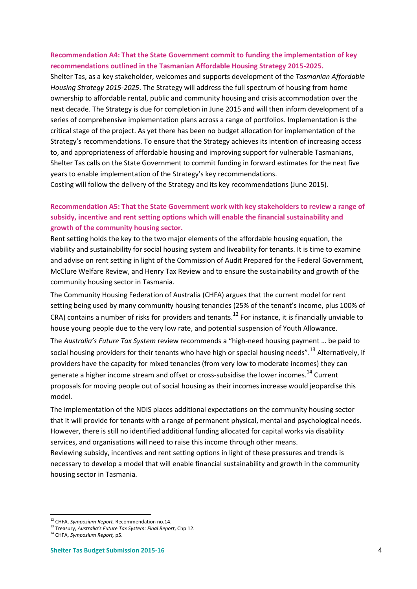#### **Recommendation A4: That the State Government commit to funding the implementation of key recommendations outlined in the Tasmanian Affordable Housing Strategy 2015-2025.**

Shelter Tas, as a key stakeholder, welcomes and supports development of the *Tasmanian Affordable Housing Strategy 2015-2025*. The Strategy will address the full spectrum of housing from home ownership to affordable rental, public and community housing and crisis accommodation over the next decade. The Strategy is due for completion in June 2015 and will then inform development of a series of comprehensive implementation plans across a range of portfolios. Implementation is the critical stage of the project. As yet there has been no budget allocation for implementation of the Strategy's recommendations. To ensure that the Strategy achieves its intention of increasing access to, and appropriateness of affordable housing and improving support for vulnerable Tasmanians, Shelter Tas calls on the State Government to commit funding in forward estimates for the next five years to enable implementation of the Strategy's key recommendations.

Costing will follow the delivery of the Strategy and its key recommendations (June 2015).

### **Recommendation A5: That the State Government work with key stakeholders to review a range of subsidy, incentive and rent setting options which will enable the financial sustainability and growth of the community housing sector.**

Rent setting holds the key to the two major elements of the affordable housing equation, the viability and sustainability for social housing system and liveability for tenants. It is time to examine and advise on rent setting in light of the Commission of Audit Prepared for the Federal Government, McClure Welfare Review, and Henry Tax Review and to ensure the sustainability and growth of the community housing sector in Tasmania.

The Community Housing Federation of Australia (CHFA) argues that the current model for rent setting being used by many community housing tenancies (25% of the tenant's income, plus 100% of CRA) contains a number of risks for providers and tenants.<sup>12</sup> For instance, it is financially unviable to house young people due to the very low rate, and potential suspension of Youth Allowance.

The *Australia's Future Tax System* review recommends a "high-need housing payment … be paid to social housing providers for their tenants who have high or special housing needs".<sup>13</sup> Alternatively, if providers have the capacity for mixed tenancies (from very low to moderate incomes) they can generate a higher income stream and offset or cross-subsidise the lower incomes.<sup>14</sup> Current proposals for moving people out of social housing as their incomes increase would jeopardise this model.

The implementation of the NDIS places additional expectations on the community housing sector that it will provide for tenants with a range of permanent physical, mental and psychological needs. However, there is still no identified additional funding allocated for capital works via disability services, and organisations will need to raise this income through other means.

Reviewing subsidy, incentives and rent setting options in light of these pressures and trends is necessary to develop a model that will enable financial sustainability and growth in the community housing sector in Tasmania.

1

<sup>12</sup> CHFA, *Symposium Report,* Recommendation no.14.

<sup>13</sup> Treasury, *Australia's Future Tax System: Final Report*, Chp 12.

<sup>14</sup> CHFA, *Symposium Report,* p5.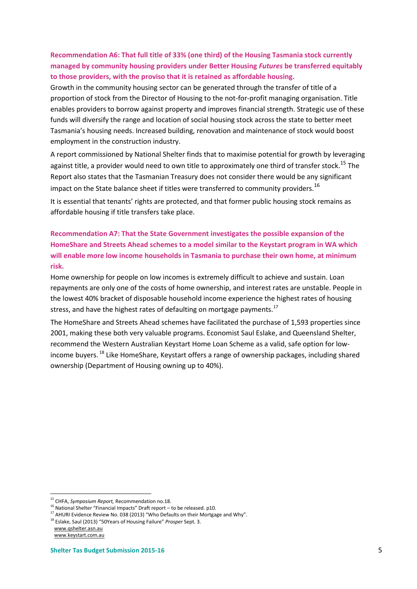### **Recommendation A6: That full title of 33% (one third) of the Housing Tasmania stock currently managed by community housing providers under Better Housing** *Futures* **be transferred equitably to those providers, with the proviso that it is retained as affordable housing.**

Growth in the community housing sector can be generated through the transfer of title of a proportion of stock from the Director of Housing to the not-for-profit managing organisation. Title enables providers to borrow against property and improves financial strength. Strategic use of these funds will diversify the range and location of social housing stock across the state to better meet Tasmania's housing needs. Increased building, renovation and maintenance of stock would boost employment in the construction industry.

A report commissioned by National Shelter finds that to maximise potential for growth by leveraging against title, a provider would need to own title to approximately one third of transfer stock.<sup>15</sup> The Report also states that the Tasmanian Treasury does not consider there would be any significant impact on the State balance sheet if titles were transferred to community providers.<sup>16</sup>

It is essential that tenants' rights are protected, and that former public housing stock remains as affordable housing if title transfers take place.

**Recommendation A7: That the State Government investigates the possible expansion of the HomeShare and Streets Ahead schemes to a model similar to the Keystart program in WA which will enable more low income households in Tasmania to purchase their own home, at minimum risk.** 

Home ownership for people on low incomes is extremely difficult to achieve and sustain. Loan repayments are only one of the costs of home ownership, and interest rates are unstable. People in the lowest 40% bracket of disposable household income experience the highest rates of housing stress, and have the highest rates of defaulting on mortgage payments.<sup>17</sup>

The HomeShare and Streets Ahead schemes have facilitated the purchase of 1,593 properties since 2001, making these both very valuable programs. Economist Saul Eslake, and Queensland Shelter, recommend the Western Australian Keystart Home Loan Scheme as a valid, safe option for lowincome buyers. <sup>18</sup> Like HomeShare, Keystart offers a range of ownership packages, including shared ownership (Department of Housing owning up to 40%).

<sup>1</sup> <sup>15</sup> CHFA, *Symposium Report,* Recommendation no.18.

 $^{16}$  National Shelter "Financial Impacts" Draft report – to be released. p10.

 $17$  AHURI Evidence Review No. 038 (2013) "Who Defaults on their Mortgage and Why".

<sup>18</sup> Eslake, Saul (2013) "50Years of Housing Failure" *Prosper* Sept. 3.

[www.qshelter.asn.au](http://www.qshelter.asn.au/)

www.keystart.com.au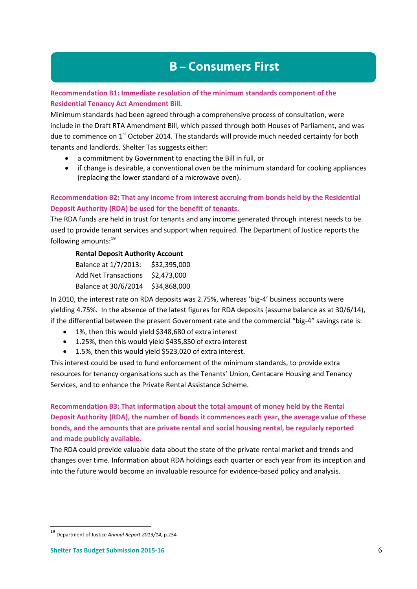# **B-Consumers First**

### **Recommendation B1: Immediate resolution of the minimum standards component of the Residential Tenancy Act Amendment Bill.**

Minimum standards had been agreed through a comprehensive process of consultation, were include in the Draft RTA Amendment Bill, which passed through both Houses of Parliament, and was due to commence on 1<sup>st</sup> October 2014. The standards will provide much needed certainty for both tenants and landlords. Shelter Tas suggests either:

- a commitment by Government to enacting the Bill in full, or
- if change is desirable, a conventional oven be the minimum standard for cooking appliances (replacing the lower standard of a microwave oven).

### **Recommendation B2: That any income from interest accruing from bonds held by the Residential Deposit Authority (RDA) be used for the benefit of tenants.**

The RDA funds are held in trust for tenants and any income generated through interest needs to be used to provide tenant services and support when required. The Department of Justice reports the following amounts: 19

#### **Rental Deposit Authority Account**

| Balance at 1/7/2013:              | \$32,395,000 |
|-----------------------------------|--------------|
| Add Net Transactions \$2,473,000  |              |
| Balance at 30/6/2014 \$34,868,000 |              |

In 2010, the interest rate on RDA deposits was 2.75%, whereas 'big-4' business accounts were yielding 4.75%. In the absence of the latest figures for RDA deposits (assume balance as at 30/6/14), if the differential between the present Government rate and the commercial "big-4" savings rate is:

- 1%, then this would yield \$348,680 of extra interest
- 1.25%, then this would yield \$435,850 of extra interest
- 1.5%, then this would yield \$523,020 of extra interest.

This interest could be used to fund enforcement of the minimum standards, to provide extra resources for tenancy organisations such as the Tenants' Union, Centacare Housing and Tenancy Services, and to enhance the Private Rental Assistance Scheme.

**Recommendation B3: That information about the total amount of money held by the Rental Deposit Authority (RDA), the number of bonds it commences each year, the average value of these bonds, and the amounts that are private rental and social housing rental, be regularly reported and made publicly available.** 

The RDA could provide valuable data about the state of the private rental market and trends and changes over time. Information about RDA holdings each quarter or each year from its inception and into the future would become an invaluable resource for evidence-based policy and analysis.

<sup>19</sup> Department of Justice *Annual Report 2013/14*, p.234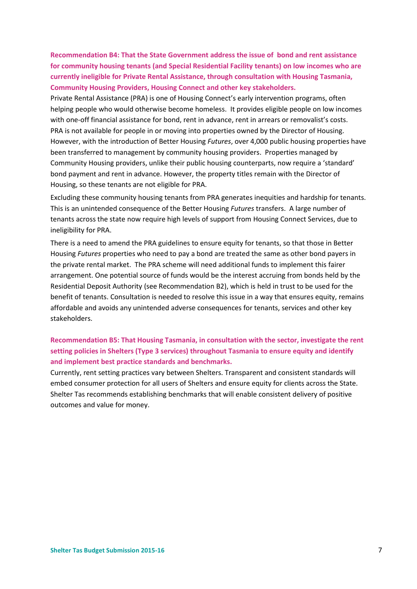**Recommendation B4: That the State Government address the issue of bond and rent assistance for community housing tenants (and Special Residential Facility tenants) on low incomes who are currently ineligible for Private Rental Assistance, through consultation with Housing Tasmania, Community Housing Providers, Housing Connect and other key stakeholders.**

Private Rental Assistance (PRA) is one of Housing Connect's early intervention programs, often helping people who would otherwise become homeless. It provides eligible people on low incomes with one-off financial assistance for bond, rent in advance, rent in arrears or removalist's costs. PRA is not available for people in or moving into properties owned by the Director of Housing. However, with the introduction of Better Housing *Futures*, over 4,000 public housing properties have been transferred to management by community housing providers. Properties managed by Community Housing providers, unlike their public housing counterparts, now require a 'standard' bond payment and rent in advance. However, the property titles remain with the Director of Housing, so these tenants are not eligible for PRA.

Excluding these community housing tenants from PRA generates inequities and hardship for tenants. This is an unintended consequence of the Better Housing *Futures* transfers. A large number of tenants across the state now require high levels of support from Housing Connect Services, due to ineligibility for PRA.

There is a need to amend the PRA guidelines to ensure equity for tenants, so that those in Better Housing *Futures* properties who need to pay a bond are treated the same as other bond payers in the private rental market. The PRA scheme will need additional funds to implement this fairer arrangement. One potential source of funds would be the interest accruing from bonds held by the Residential Deposit Authority (see Recommendation B2), which is held in trust to be used for the benefit of tenants. Consultation is needed to resolve this issue in a way that ensures equity, remains affordable and avoids any unintended adverse consequences for tenants, services and other key stakeholders.

### **Recommendation B5: That Housing Tasmania, in consultation with the sector, investigate the rent setting policies in Shelters (Type 3 services) throughout Tasmania to ensure equity and identify and implement best practice standards and benchmarks.**

Currently, rent setting practices vary between Shelters. Transparent and consistent standards will embed consumer protection for all users of Shelters and ensure equity for clients across the State. Shelter Tas recommends establishing benchmarks that will enable consistent delivery of positive outcomes and value for money.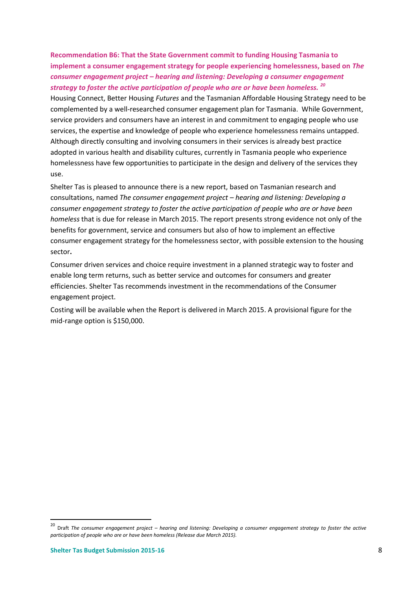**Recommendation B6: That the State Government commit to funding Housing Tasmania to implement a consumer engagement strategy for people experiencing homelessness, based on** *The consumer engagement project – hearing and listening: Developing a consumer engagement strategy to foster the active participation of people who are or have been homeless. <sup>20</sup>*

Housing Connect, Better Housing *Futures* and the Tasmanian Affordable Housing Strategy need to be complemented by a well-researched consumer engagement plan for Tasmania. While Government, service providers and consumers have an interest in and commitment to engaging people who use services, the expertise and knowledge of people who experience homelessness remains untapped. Although directly consulting and involving consumers in their services is already best practice adopted in various health and disability cultures, currently in Tasmania people who experience homelessness have few opportunities to participate in the design and delivery of the services they use.

Shelter Tas is pleased to announce there is a new report, based on Tasmanian research and consultations, named *The consumer engagement project – hearing and listening: Developing a consumer engagement strategy to foster the active participation of people who are or have been homeless* that is due for release in March 2015. The report presents strong evidence not only of the benefits for government, service and consumers but also of how to implement an effective consumer engagement strategy for the homelessness sector, with possible extension to the housing sector**.**

Consumer driven services and choice require investment in a planned strategic way to foster and enable long term returns, such as better service and outcomes for consumers and greater efficiencies. Shelter Tas recommends investment in the recommendations of the Consumer engagement project.

Costing will be available when the Report is delivered in March 2015. A provisional figure for the mid-range option is \$150,000.

<sup>20</sup> Draft *The consumer engagement project – hearing and listening: Developing a consumer engagement strategy to foster the active participation of people who are or have been homeless (Release due March 2015).*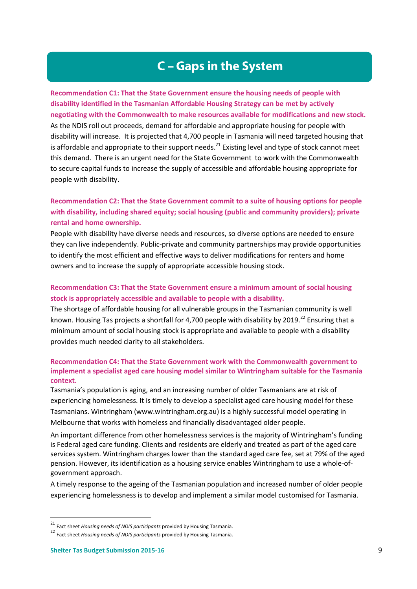## **C-Gaps in the System**

**Recommendation C1: That the State Government ensure the housing needs of people with disability identified in the Tasmanian Affordable Housing Strategy can be met by actively negotiating with the Commonwealth to make resources available for modifications and new stock.**  As the NDIS roll out proceeds, demand for affordable and appropriate housing for people with disability will increase. It is projected that 4,700 people in Tasmania will need targeted housing that is affordable and appropriate to their support needs.<sup>21</sup> Existing level and type of stock cannot meet this demand. There is an urgent need for the State Government to work with the Commonwealth to secure capital funds to increase the supply of accessible and affordable housing appropriate for people with disability.

### **Recommendation C2: That the State Government commit to a suite of housing options for people with disability, including shared equity; social housing (public and community providers); private rental and home ownership.**

People with disability have diverse needs and resources, so diverse options are needed to ensure they can live independently. Public-private and community partnerships may provide opportunities to identify the most efficient and effective ways to deliver modifications for renters and home owners and to increase the supply of appropriate accessible housing stock.

### **Recommendation C3: That the State Government ensure a minimum amount of social housing stock is appropriately accessible and available to people with a disability.**

The shortage of affordable housing for all vulnerable groups in the Tasmanian community is well known. Housing Tas projects a shortfall for 4,700 people with disability by 2019.<sup>22</sup> Ensuring that a minimum amount of social housing stock is appropriate and available to people with a disability provides much needed clarity to all stakeholders.

#### **Recommendation C4: That the State Government work with the Commonwealth government to implement a specialist aged care housing model similar to Wintringham suitable for the Tasmania context.**

Tasmania's population is aging, and an increasing number of older Tasmanians are at risk of experiencing homelessness. It is timely to develop a specialist aged care housing model for these Tasmanians. Wintringham [\(www.wintringham.org.au\)](http://www.wintringham.org.au/) is a highly successful model operating in Melbourne that works with homeless and financially disadvantaged older people.

An important difference from other homelessness services is the majority of Wintringham's funding is Federal aged care funding. Clients and residents are elderly and treated as part of the aged care services system. Wintringham charges lower than the standard aged care fee, set at 79% of the aged pension. However, its identification as a housing service enables Wintringham to use a whole-ofgovernment approach.

A timely response to the ageing of the Tasmanian population and increased number of older people experiencing homelessness is to develop and implement a similar model customised for Tasmania.

<sup>21</sup> Fact sheet *Housing needs of NDIS participants* provided by Housing Tasmania.

<sup>22</sup> Fact sheet *Housing needs of NDIS participants* provided by Housing Tasmania.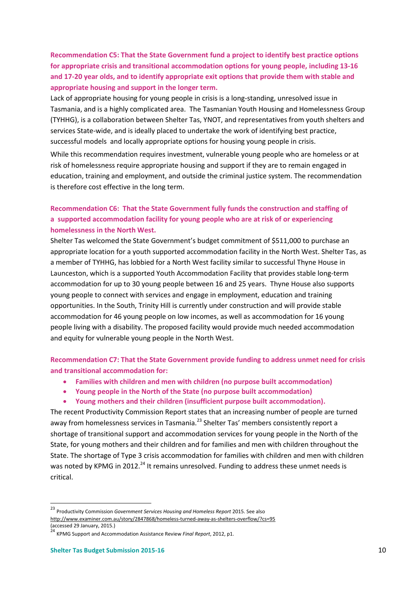**Recommendation C5: That the State Government fund a project to identify best practice options for appropriate crisis and transitional accommodation options for young people, including 13-16 and 17-20 year olds, and to identify appropriate exit options that provide them with stable and appropriate housing and support in the longer term.** 

Lack of appropriate housing for young people in crisis is a long-standing, unresolved issue in Tasmania, and is a highly complicated area. The Tasmanian Youth Housing and Homelessness Group (TYHHG), is a collaboration between Shelter Tas, YNOT, and representatives from youth shelters and services State-wide, and is ideally placed to undertake the work of identifying best practice, successful models and locally appropriate options for housing young people in crisis.

While this recommendation requires investment, vulnerable young people who are homeless or at risk of homelessness require appropriate housing and support if they are to remain engaged in education, training and employment, and outside the criminal justice system. The recommendation is therefore cost effective in the long term.

### **Recommendation C6: That the State Government fully funds the construction and staffing of a supported accommodation facility for young people who are at risk of or experiencing homelessness in the North West.**

Shelter Tas welcomed the State Government's budget commitment of \$511,000 to purchase an appropriate location for a youth supported accommodation facility in the North West. Shelter Tas, as a member of TYHHG, has lobbied for a North West facility similar to successful Thyne House in Launceston, which is a supported Youth Accommodation Facility that provides stable long-term accommodation for up to 30 young people between 16 and 25 years. Thyne House also supports young people to connect with services and engage in employment, education and training opportunities. In the South, Trinity Hill is currently under construction and will provide stable accommodation for 46 young people on low incomes, as well as accommodation for 16 young people living with a disability. The proposed facility would provide much needed accommodation and equity for vulnerable young people in the North West.

**Recommendation C7: That the State Government provide funding to address unmet need for crisis and transitional accommodation for:**

- **Families with children and men with children (no purpose built accommodation)**
- **Young people in the North of the State (no purpose built accommodation)**
- **Young mothers and their children (insufficient purpose built accommodation).**

The recent Productivity Commission Report states that an increasing number of people are turned away from homelessness services in Tasmania.<sup>23</sup> Shelter Tas' members consistently report a shortage of transitional support and accommodation services for young people in the North of the State, for young mothers and their children and for families and men with children throughout the State. The shortage of Type 3 crisis accommodation for families with children and men with children was noted by KPMG in 2012.<sup>24</sup> It remains unresolved. Funding to address these unmet needs is critical.

1

<sup>23</sup> Productivity Commission *Government Services Housing and Homeless Report* 2015. See also <http://www.examiner.com.au/story/2847868/homeless-turned-away-as-shelters-overflow/?cs=95>

<sup>(</sup>accessed 29 January, 2015.) <sup>24</sup> KPMG Support and Accommodation Assistance Review *Final Report*, 2012, p1.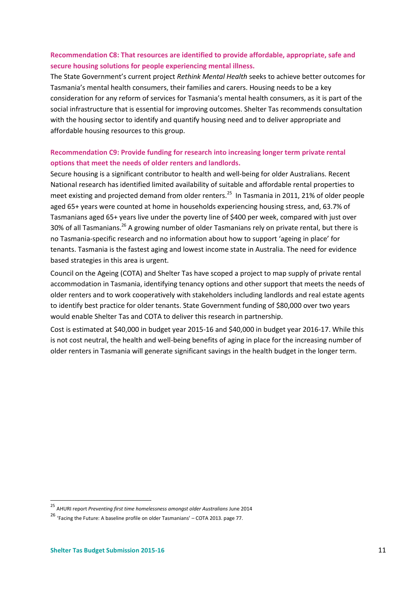### **Recommendation C8: That resources are identified to provide affordable, appropriate, safe and secure housing solutions for people experiencing mental illness.**

The State Government's current project *Rethink Mental Health* seeks to achieve better outcomes for Tasmania's mental health consumers, their families and carers. Housing needs to be a key consideration for any reform of services for Tasmania's mental health consumers, as it is part of the social infrastructure that is essential for improving outcomes. Shelter Tas recommends consultation with the housing sector to identify and quantify housing need and to deliver appropriate and affordable housing resources to this group.

### **Recommendation C9: Provide funding for research into increasing longer term private rental options that meet the needs of older renters and landlords.**

Secure housing is a significant contributor to health and well-being for older Australians. Recent National research has identified limited availability of suitable and affordable rental properties to meet existing and projected demand from older renters.<sup>25</sup> In Tasmania in 2011, 21% of older people aged 65+ years were counted at home in households experiencing housing stress, and, 63.7% of Tasmanians aged 65+ years live under the poverty line of \$400 per week, compared with just over 30% of all Tasmanians.<sup>26</sup> A growing number of older Tasmanians rely on private rental, but there is no Tasmania-specific research and no information about how to support 'ageing in place' for tenants. Tasmania is the fastest aging and lowest income state in Australia. The need for evidence based strategies in this area is urgent.

Council on the Ageing (COTA) and Shelter Tas have scoped a project to map supply of private rental accommodation in Tasmania, identifying tenancy options and other support that meets the needs of older renters and to work cooperatively with stakeholders including landlords and real estate agents to identify best practice for older tenants. State Government funding of \$80,000 over two years would enable Shelter Tas and COTA to deliver this research in partnership.

Cost is estimated at \$40,000 in budget year 2015-16 and \$40,000 in budget year 2016-17. While this is not cost neutral, the health and well-being benefits of aging in place for the increasing number of older renters in Tasmania will generate significant savings in the health budget in the longer term.

<sup>25</sup> AHURI report *Preventing first time homelessness amongst older Australians* June 2014

<sup>26</sup> 'Facing the Future: A baseline profile on older Tasmanians' – COTA 2013. page 77.